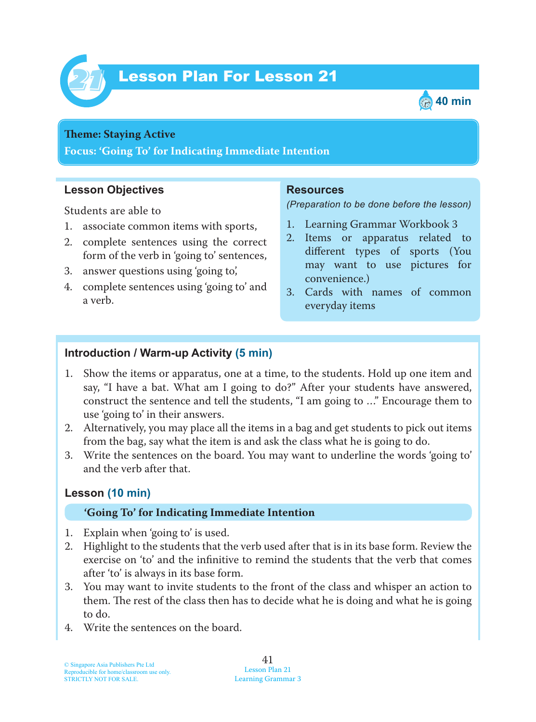



#### **Theme: Staying Active**

**Focus: 'Going To' for Indicating Immediate Intention**

### **Lesson Objectives**

Students are able to

- 1. associate common items with sports,
- 2. complete sentences using the correct form of the verb in 'going to' sentences,
- 3. answer questions using 'going to',
- 4. complete sentences using 'going to' and a verb.

### **Resources**

*(Preparation to be done before the lesson)*

- 1. Learning Grammar Workbook 3
- 2. Items or apparatus related to different types of sports (You may want to use pictures for convenience.)
- 3. Cards with names of common everyday items

## **Introduction / Warm-up Activity (5 min)**

- 1. Show the items or apparatus, one at a time, to the students. Hold up one item and say, "I have a bat. What am I going to do?" After your students have answered, construct the sentence and tell the students, "I am going to …" Encourage them to use 'going to' in their answers.
- 2. Alternatively, you may place all the items in a bag and get students to pick out items from the bag, say what the item is and ask the class what he is going to do.
- 3. Write the sentences on the board. You may want to underline the words 'going to' and the verb after that.

## **Lesson (10 min)**

#### **'Going To' for Indicating Immediate Intention**

- 1. Explain when 'going to' is used.
- 2. Highlight to the students that the verb used after that is in its base form. Review the exercise on 'to' and the infinitive to remind the students that the verb that comes after 'to' is always in its base form.
- 3. You may want to invite students to the front of the class and whisper an action to them. The rest of the class then has to decide what he is doing and what he is going to do.
- 4. Write the sentences on the board.